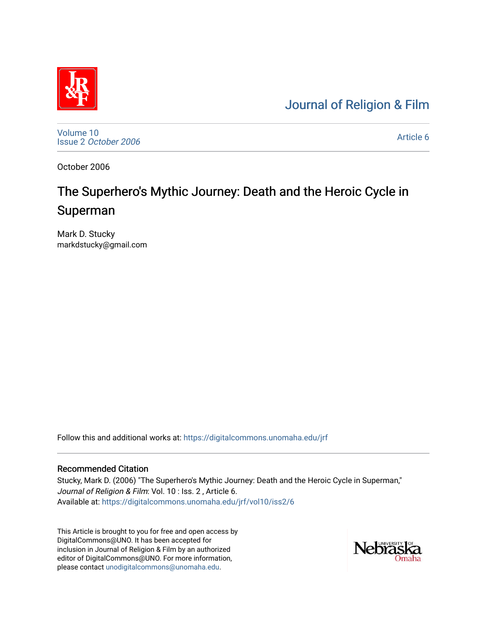## [Journal of Religion & Film](https://digitalcommons.unomaha.edu/jrf)



[Volume 10](https://digitalcommons.unomaha.edu/jrf/vol10) Issue 2 [October 2006](https://digitalcommons.unomaha.edu/jrf/vol10/iss2)

[Article 6](https://digitalcommons.unomaha.edu/jrf/vol10/iss2/6) 

October 2006

# The Superhero's Mythic Journey: Death and the Heroic Cycle in Superman

Mark D. Stucky markdstucky@gmail.com

Follow this and additional works at: [https://digitalcommons.unomaha.edu/jrf](https://digitalcommons.unomaha.edu/jrf?utm_source=digitalcommons.unomaha.edu%2Fjrf%2Fvol10%2Fiss2%2F6&utm_medium=PDF&utm_campaign=PDFCoverPages)

#### Recommended Citation

Stucky, Mark D. (2006) "The Superhero's Mythic Journey: Death and the Heroic Cycle in Superman," Journal of Religion & Film: Vol. 10 : Iss. 2 , Article 6. Available at: [https://digitalcommons.unomaha.edu/jrf/vol10/iss2/6](https://digitalcommons.unomaha.edu/jrf/vol10/iss2/6?utm_source=digitalcommons.unomaha.edu%2Fjrf%2Fvol10%2Fiss2%2F6&utm_medium=PDF&utm_campaign=PDFCoverPages)

This Article is brought to you for free and open access by DigitalCommons@UNO. It has been accepted for inclusion in Journal of Religion & Film by an authorized editor of DigitalCommons@UNO. For more information, please contact [unodigitalcommons@unomaha.edu.](mailto:unodigitalcommons@unomaha.edu)

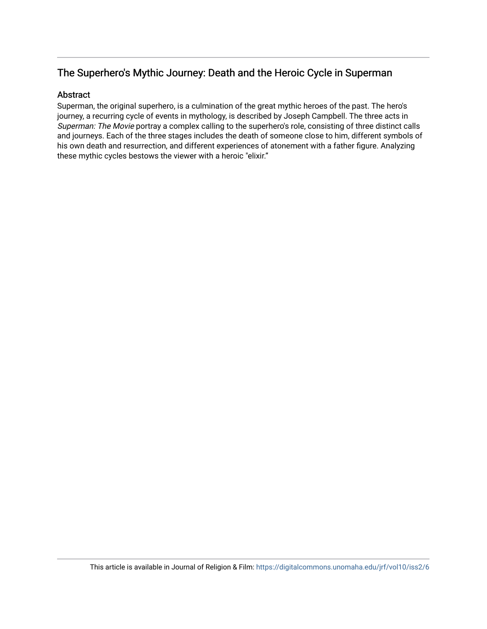### The Superhero's Mythic Journey: Death and the Heroic Cycle in Superman

#### Abstract

Superman, the original superhero, is a culmination of the great mythic heroes of the past. The hero's journey, a recurring cycle of events in mythology, is described by Joseph Campbell. The three acts in Superman: The Movie portray a complex calling to the superhero's role, consisting of three distinct calls and journeys. Each of the three stages includes the death of someone close to him, different symbols of his own death and resurrection, and different experiences of atonement with a father figure. Analyzing these mythic cycles bestows the viewer with a heroic "elixir."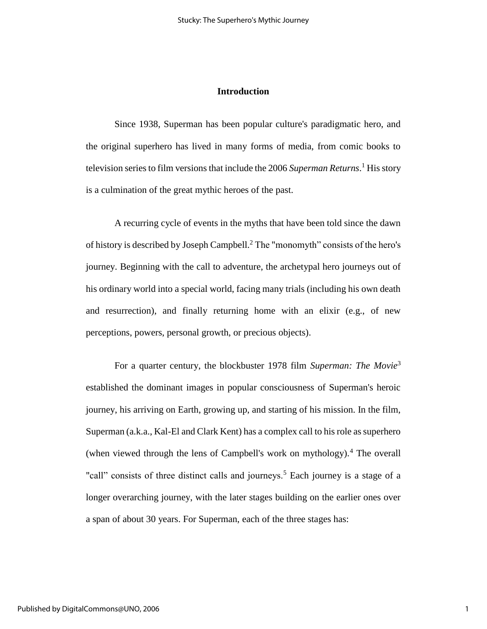#### **Introduction**

Since 1938, Superman has been popular culture's paradigmatic hero, and the original superhero has lived in many forms of media, from comic books to television series to film versions that include the 2006 *Superman Returns*. <sup>1</sup> His story is a culmination of the great mythic heroes of the past.

A recurring cycle of events in the myths that have been told since the dawn of history is described by Joseph Campbell.<sup>2</sup> The "monomyth" consists of the hero's journey. Beginning with the call to adventure, the archetypal hero journeys out of his ordinary world into a special world, facing many trials (including his own death and resurrection), and finally returning home with an elixir (e.g., of new perceptions, powers, personal growth, or precious objects).

For a quarter century, the blockbuster 1978 film *Superman: The Movie*<sup>3</sup> established the dominant images in popular consciousness of Superman's heroic journey, his arriving on Earth, growing up, and starting of his mission. In the film, Superman (a.k.a., Kal-El and Clark Kent) has a complex call to his role as superhero (when viewed through the lens of Campbell's work on mythology).<sup>4</sup> The overall "call" consists of three distinct calls and journeys.<sup>5</sup> Each journey is a stage of a longer overarching journey, with the later stages building on the earlier ones over a span of about 30 years. For Superman, each of the three stages has: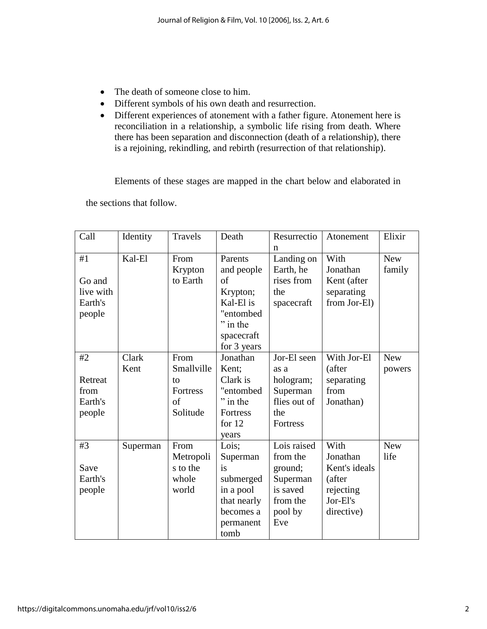- The death of someone close to him.
- Different symbols of his own death and resurrection.
- Different experiences of atonement with a father figure. Atonement here is reconciliation in a relationship, a symbolic life rising from death. Where there has been separation and disconnection (death of a relationship), there is a rejoining, rekindling, and rebirth (resurrection of that relationship).

Elements of these stages are mapped in the chart below and elaborated in

the sections that follow.

| Call      | Identity | Travels         | Death       | Resurrectio  | Atonement     | Elixir     |
|-----------|----------|-----------------|-------------|--------------|---------------|------------|
|           |          |                 |             | n            |               |            |
| #1        | Kal-El   | From            | Parents     | Landing on   | With          | <b>New</b> |
|           |          | Krypton         | and people  | Earth, he    | Jonathan      | family     |
| Go and    |          | to Earth        | of          | rises from   | Kent (after   |            |
| live with |          |                 | Krypton;    | the          | separating    |            |
| Earth's   |          |                 | Kal-El is   | spacecraft   | from Jor-El)  |            |
| people    |          |                 | "entombed   |              |               |            |
|           |          |                 | $"$ in the  |              |               |            |
|           |          |                 | spacecraft  |              |               |            |
|           |          |                 | for 3 years |              |               |            |
| #2        | Clark    | From            | Jonathan    | Jor-El seen  | With Jor-El   | <b>New</b> |
|           | Kent     | Smallville      | Kent;       | as a         | (after        | powers     |
| Retreat   |          | to              | Clark is    | hologram;    | separating    |            |
| from      |          | <b>Fortress</b> | "entombed   | Superman     | from          |            |
| Earth's   |          | of              | $"$ in the  | flies out of | Jonathan)     |            |
| people    |          | Solitude        | Fortress    | the          |               |            |
|           |          |                 | for $12$    | Fortress     |               |            |
|           |          |                 | years       |              |               |            |
| #3        | Superman | From            | Lois;       | Lois raised  | With          | <b>New</b> |
|           |          | Metropoli       | Superman    | from the     | Jonathan      | life       |
| Save      |          | s to the        | is          | ground;      | Kent's ideals |            |
| Earth's   |          | whole           | submerged   | Superman     | (after        |            |
| people    |          | world           | in a pool   | is saved     | rejecting     |            |
|           |          |                 | that nearly | from the     | Jor-El's      |            |
|           |          |                 | becomes a   | pool by      | directive)    |            |
|           |          |                 | permanent   | Eve          |               |            |
|           |          |                 | tomb        |              |               |            |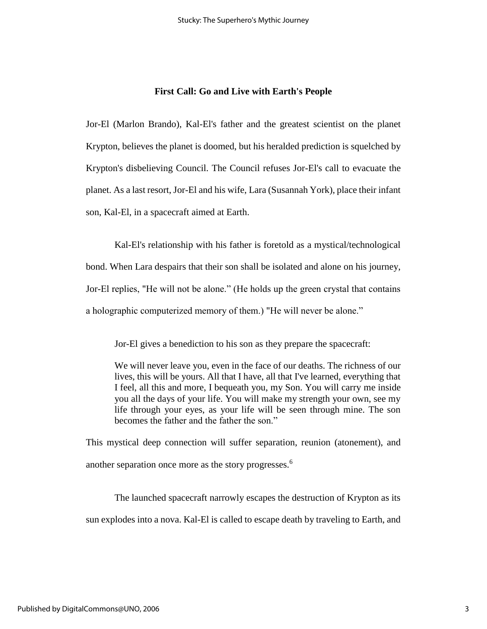#### **First Call: Go and Live with Earth's People**

Jor-El (Marlon Brando), Kal-El's father and the greatest scientist on the planet Krypton, believes the planet is doomed, but his heralded prediction is squelched by Krypton's disbelieving Council. The Council refuses Jor-El's call to evacuate the planet. As a last resort, Jor-El and his wife, Lara (Susannah York), place their infant son, Kal-El, in a spacecraft aimed at Earth.

Kal-El's relationship with his father is foretold as a mystical/technological bond. When Lara despairs that their son shall be isolated and alone on his journey, Jor-El replies, "He will not be alone." (He holds up the green crystal that contains a holographic computerized memory of them.) "He will never be alone."

Jor-El gives a benediction to his son as they prepare the spacecraft:

We will never leave you, even in the face of our deaths. The richness of our lives, this will be yours. All that I have, all that I've learned, everything that I feel, all this and more, I bequeath you, my Son. You will carry me inside you all the days of your life. You will make my strength your own, see my life through your eyes, as your life will be seen through mine. The son becomes the father and the father the son."

This mystical deep connection will suffer separation, reunion (atonement), and another separation once more as the story progresses.<sup>6</sup>

The launched spacecraft narrowly escapes the destruction of Krypton as its sun explodes into a nova. Kal-El is called to escape death by traveling to Earth, and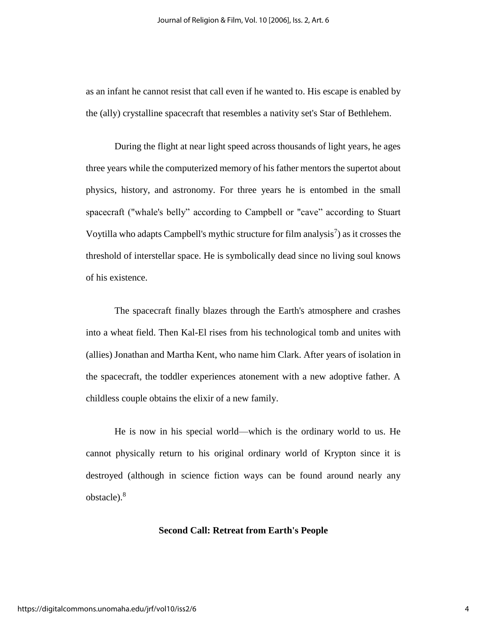as an infant he cannot resist that call even if he wanted to. His escape is enabled by the (ally) crystalline spacecraft that resembles a nativity set's Star of Bethlehem.

During the flight at near light speed across thousands of light years, he ages three years while the computerized memory of his father mentors the supertot about physics, history, and astronomy. For three years he is entombed in the small spacecraft ("whale's belly" according to Campbell or "cave" according to Stuart Voytilla who adapts Campbell's mythic structure for film analysis<sup>7</sup>) as it crosses the threshold of interstellar space. He is symbolically dead since no living soul knows of his existence.

The spacecraft finally blazes through the Earth's atmosphere and crashes into a wheat field. Then Kal-El rises from his technological tomb and unites with (allies) Jonathan and Martha Kent, who name him Clark. After years of isolation in the spacecraft, the toddler experiences atonement with a new adoptive father. A childless couple obtains the elixir of a new family.

He is now in his special world—which is the ordinary world to us. He cannot physically return to his original ordinary world of Krypton since it is destroyed (although in science fiction ways can be found around nearly any obstacle).<sup>8</sup>

#### **Second Call: Retreat from Earth's People**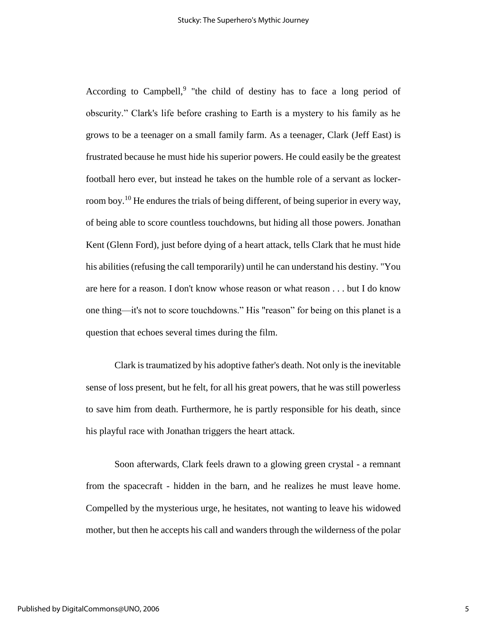According to Campbell,<sup>9</sup> "the child of destiny has to face a long period of obscurity." Clark's life before crashing to Earth is a mystery to his family as he grows to be a teenager on a small family farm. As a teenager, Clark (Jeff East) is frustrated because he must hide his superior powers. He could easily be the greatest football hero ever, but instead he takes on the humble role of a servant as lockerroom boy.<sup>10</sup> He endures the trials of being different, of being superior in every way, of being able to score countless touchdowns, but hiding all those powers. Jonathan Kent (Glenn Ford), just before dying of a heart attack, tells Clark that he must hide his abilities (refusing the call temporarily) until he can understand his destiny. "You are here for a reason. I don't know whose reason or what reason . . . but I do know one thing—it's not to score touchdowns." His "reason" for being on this planet is a question that echoes several times during the film.

Clark is traumatized by his adoptive father's death. Not only is the inevitable sense of loss present, but he felt, for all his great powers, that he was still powerless to save him from death. Furthermore, he is partly responsible for his death, since his playful race with Jonathan triggers the heart attack.

Soon afterwards, Clark feels drawn to a glowing green crystal - a remnant from the spacecraft - hidden in the barn, and he realizes he must leave home. Compelled by the mysterious urge, he hesitates, not wanting to leave his widowed mother, but then he accepts his call and wanders through the wilderness of the polar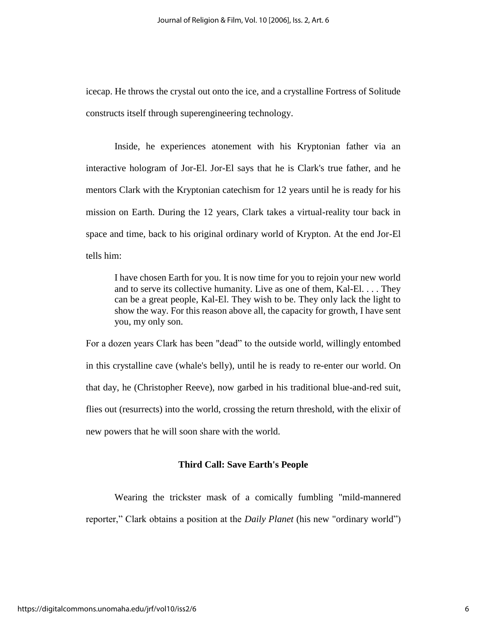icecap. He throws the crystal out onto the ice, and a crystalline Fortress of Solitude constructs itself through superengineering technology.

Inside, he experiences atonement with his Kryptonian father via an interactive hologram of Jor-El. Jor-El says that he is Clark's true father, and he mentors Clark with the Kryptonian catechism for 12 years until he is ready for his mission on Earth. During the 12 years, Clark takes a virtual-reality tour back in space and time, back to his original ordinary world of Krypton. At the end Jor-El tells him:

I have chosen Earth for you. It is now time for you to rejoin your new world and to serve its collective humanity. Live as one of them, Kal-El. . . . They can be a great people, Kal-El. They wish to be. They only lack the light to show the way. For this reason above all, the capacity for growth, I have sent you, my only son.

For a dozen years Clark has been "dead" to the outside world, willingly entombed in this crystalline cave (whale's belly), until he is ready to re-enter our world. On that day, he (Christopher Reeve), now garbed in his traditional blue-and-red suit, flies out (resurrects) into the world, crossing the return threshold, with the elixir of new powers that he will soon share with the world.

#### **Third Call: Save Earth's People**

Wearing the trickster mask of a comically fumbling "mild-mannered reporter," Clark obtains a position at the *Daily Planet* (his new "ordinary world")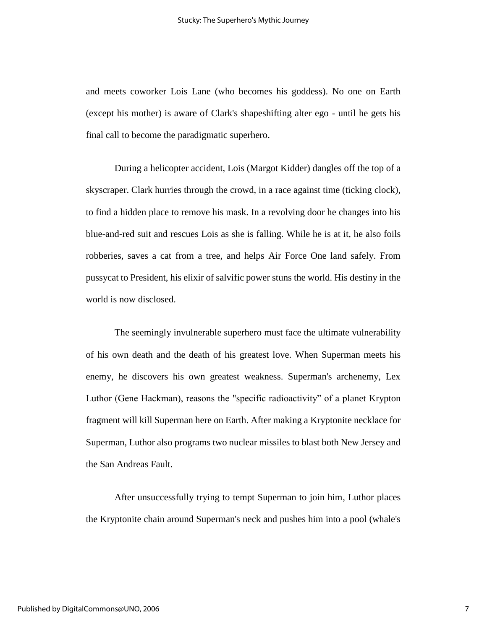and meets coworker Lois Lane (who becomes his goddess). No one on Earth (except his mother) is aware of Clark's shapeshifting alter ego - until he gets his final call to become the paradigmatic superhero.

During a helicopter accident, Lois (Margot Kidder) dangles off the top of a skyscraper. Clark hurries through the crowd, in a race against time (ticking clock), to find a hidden place to remove his mask. In a revolving door he changes into his blue-and-red suit and rescues Lois as she is falling. While he is at it, he also foils robberies, saves a cat from a tree, and helps Air Force One land safely. From pussycat to President, his elixir of salvific power stuns the world. His destiny in the world is now disclosed.

The seemingly invulnerable superhero must face the ultimate vulnerability of his own death and the death of his greatest love. When Superman meets his enemy, he discovers his own greatest weakness. Superman's archenemy, Lex Luthor (Gene Hackman), reasons the "specific radioactivity" of a planet Krypton fragment will kill Superman here on Earth. After making a Kryptonite necklace for Superman, Luthor also programs two nuclear missiles to blast both New Jersey and the San Andreas Fault.

After unsuccessfully trying to tempt Superman to join him, Luthor places the Kryptonite chain around Superman's neck and pushes him into a pool (whale's

7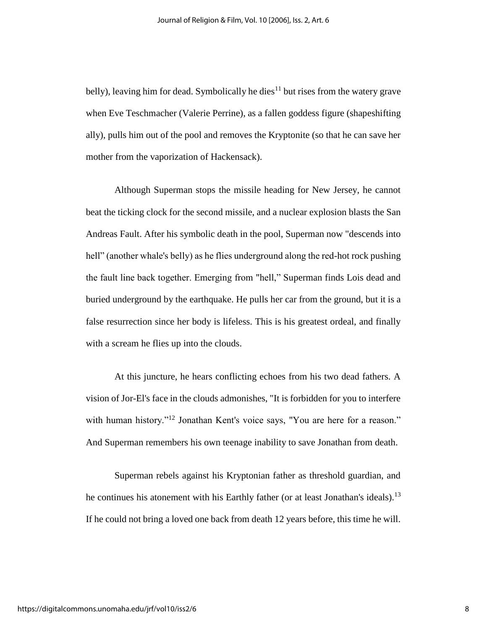belly), leaving him for dead. Symbolically he dies<sup>11</sup> but rises from the watery grave when Eve Teschmacher (Valerie Perrine), as a fallen goddess figure (shapeshifting ally), pulls him out of the pool and removes the Kryptonite (so that he can save her mother from the vaporization of Hackensack).

Although Superman stops the missile heading for New Jersey, he cannot beat the ticking clock for the second missile, and a nuclear explosion blasts the San Andreas Fault. After his symbolic death in the pool, Superman now "descends into hell" (another whale's belly) as he flies underground along the red-hot rock pushing the fault line back together. Emerging from "hell," Superman finds Lois dead and buried underground by the earthquake. He pulls her car from the ground, but it is a false resurrection since her body is lifeless. This is his greatest ordeal, and finally with a scream he flies up into the clouds.

At this juncture, he hears conflicting echoes from his two dead fathers. A vision of Jor-El's face in the clouds admonishes, "It is forbidden for you to interfere with human history."<sup>12</sup> Jonathan Kent's voice says, "You are here for a reason." And Superman remembers his own teenage inability to save Jonathan from death.

Superman rebels against his Kryptonian father as threshold guardian, and he continues his atonement with his Earthly father (or at least Jonathan's ideals).<sup>13</sup> If he could not bring a loved one back from death 12 years before, this time he will.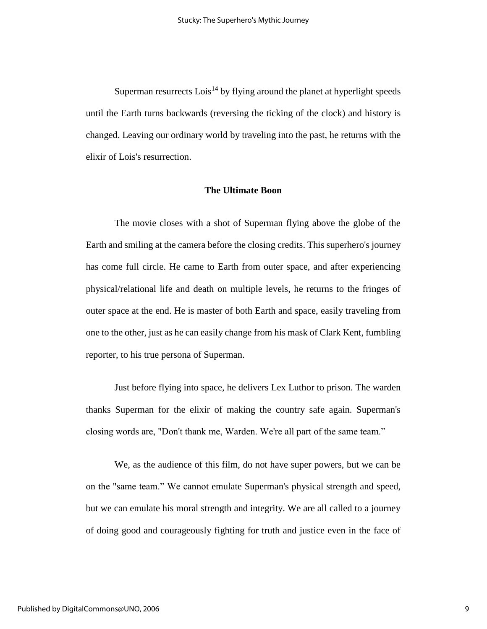Superman resurrects  $\text{Lois}^{14}$  by flying around the planet at hyperlight speeds until the Earth turns backwards (reversing the ticking of the clock) and history is changed. Leaving our ordinary world by traveling into the past, he returns with the elixir of Lois's resurrection.

#### **The Ultimate Boon**

The movie closes with a shot of Superman flying above the globe of the Earth and smiling at the camera before the closing credits. This superhero's journey has come full circle. He came to Earth from outer space, and after experiencing physical/relational life and death on multiple levels, he returns to the fringes of outer space at the end. He is master of both Earth and space, easily traveling from one to the other, just as he can easily change from his mask of Clark Kent, fumbling reporter, to his true persona of Superman.

Just before flying into space, he delivers Lex Luthor to prison. The warden thanks Superman for the elixir of making the country safe again. Superman's closing words are, "Don't thank me, Warden. We're all part of the same team."

We, as the audience of this film, do not have super powers, but we can be on the "same team." We cannot emulate Superman's physical strength and speed, but we can emulate his moral strength and integrity. We are all called to a journey of doing good and courageously fighting for truth and justice even in the face of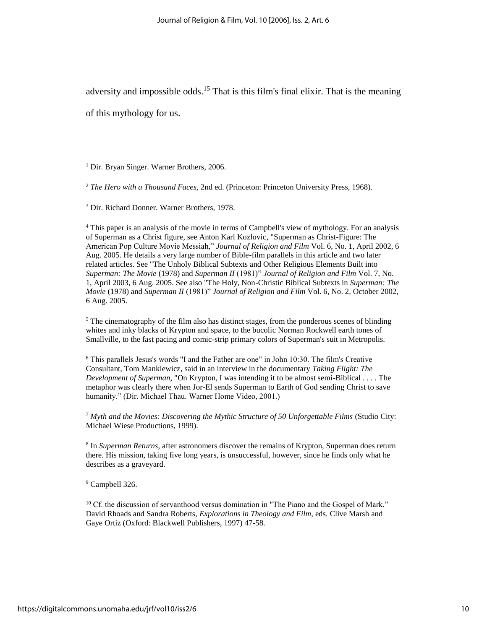adversity and impossible odds.<sup>15</sup> That is this film's final elixir. That is the meaning

of this mythology for us.

 $\overline{\phantom{a}}$ 

<sup>1</sup> Dir. Bryan Singer. Warner Brothers, 2006.

<sup>2</sup> *The Hero with a Thousand Faces,* 2nd ed. (Princeton: Princeton University Press, 1968).

<sup>3</sup> Dir. Richard Donner. Warner Brothers, 1978.

<sup>4</sup> This paper is an analysis of the movie in terms of Campbell's view of mythology. For an analysis of Superman as a Christ figure, see Anton Karl Kozlovic, "Superman as Christ-Figure: The American Pop Culture Movie Messiah," *Journal of Religion and Film* Vol. 6, No. 1, April 2002, 6 Aug. 2005. He details a very large number of Bible-film parallels in this article and two later related articles. See "The Unholy Biblical Subtexts and Other Religious Elements Built into *Superman: The Movie* (1978) and *Superman II* (1981)" *Journal of Religion and Film* Vol. 7, No. 1, April 2003, 6 Aug. 2005. See also "The Holy, Non-Christic Biblical Subtexts in *Superman: The Movie* (1978) and *Superman II* (1981)" *Journal of Religion and Film* Vol. 6, No. 2, October 2002, 6 Aug. 2005.

 $5$  The cinematography of the film also has distinct stages, from the ponderous scenes of blinding whites and inky blacks of Krypton and space, to the bucolic Norman Rockwell earth tones of Smallville, to the fast pacing and comic-strip primary colors of Superman's suit in Metropolis.

<sup>6</sup> This parallels Jesus's words "I and the Father are one" in John 10:30. The film's Creative Consultant, Tom Mankiewicz, said in an interview in the documentary *Taking Flight: The Development of Superman,* "On Krypton, I was intending it to be almost semi-Biblical . . . . The metaphor was clearly there when Jor-El sends Superman to Earth of God sending Christ to save humanity." (Dir. Michael Thau. Warner Home Video, 2001.)

<sup>7</sup> *Myth and the Movies: Discovering the Mythic Structure of 50 Unforgettable Films* (Studio City: Michael Wiese Productions, 1999).

8 In *Superman Returns*, after astronomers discover the remains of Krypton, Superman does return there. His mission, taking five long years, is unsuccessful, however, since he finds only what he describes as a graveyard.

<sup>9</sup> Campbell 326.

 $10$  Cf. the discussion of servanthood versus domination in "The Piano and the Gospel of Mark," David Rhoads and Sandra Roberts, *Explorations in Theology and Film*, eds. Clive Marsh and Gaye Ortiz (Oxford: Blackwell Publishers, 1997) 47-58.